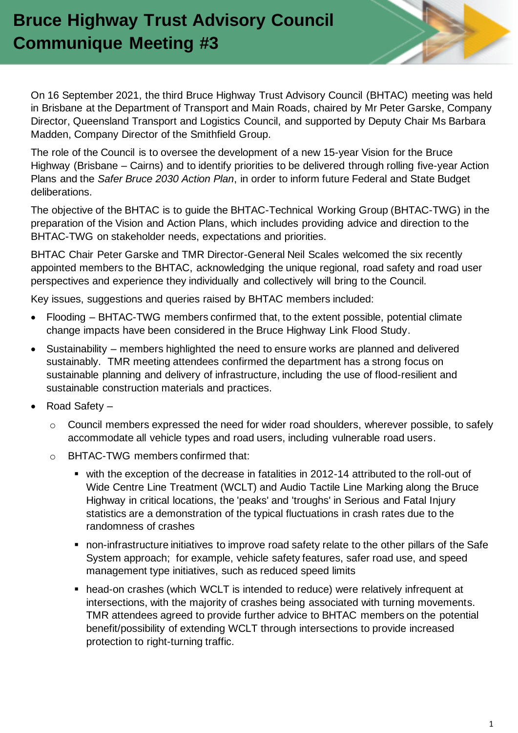# **Bruce Highway Trust Advisory Council Communique Meeting #3**

On 16 September 2021, the third Bruce Highway Trust Advisory Council (BHTAC) meeting was held in Brisbane at the Department of Transport and Main Roads, chaired by Mr Peter Garske, Company Director, Queensland Transport and Logistics Council, and supported by Deputy Chair Ms Barbara Madden, Company Director of the Smithfield Group.

The role of the Council is to oversee the development of a new 15-year Vision for the Bruce Highway (Brisbane – Cairns) and to identify priorities to be delivered through rolling five-year Action Plans and the *Safer Bruce 2030 Action Plan*, in order to inform future Federal and State Budget deliberations.

The objective of the BHTAC is to guide the BHTAC-Technical Working Group (BHTAC-TWG) in the preparation of the Vision and Action Plans, which includes providing advice and direction to the BHTAC-TWG on stakeholder needs, expectations and priorities.

BHTAC Chair Peter Garske and TMR Director-General Neil Scales welcomed the six recently appointed members to the BHTAC, acknowledging the unique regional, road safety and road user perspectives and experience they individually and collectively will bring to the Council.

Key issues, suggestions and queries raised by BHTAC members included:

- Flooding BHTAC-TWG members confirmed that, to the extent possible, potential climate change impacts have been considered in the Bruce Highway Link Flood Study.
- Sustainability members highlighted the need to ensure works are planned and delivered sustainably. TMR meeting attendees confirmed the department has a strong focus on sustainable planning and delivery of infrastructure, including the use of flood-resilient and sustainable construction materials and practices.
- Road Safety
	- o Council members expressed the need for wider road shoulders, wherever possible, to safely accommodate all vehicle types and road users, including vulnerable road users.
	- o BHTAC-TWG members confirmed that:
		- with the exception of the decrease in fatalities in 2012-14 attributed to the roll-out of Wide Centre Line Treatment (WCLT) and Audio Tactile Line Marking along the Bruce Highway in critical locations, the 'peaks' and 'troughs' in Serious and Fatal Injury statistics are a demonstration of the typical fluctuations in crash rates due to the randomness of crashes
		- non-infrastructure initiatives to improve road safety relate to the other pillars of the Safe System approach; for example, vehicle safety features, safer road use, and speed management type initiatives, such as reduced speed limits
		- head-on crashes (which WCLT is intended to reduce) were relatively infrequent at intersections, with the majority of crashes being associated with turning movements. TMR attendees agreed to provide further advice to BHTAC members on the potential benefit/possibility of extending WCLT through intersections to provide increased protection to right-turning traffic.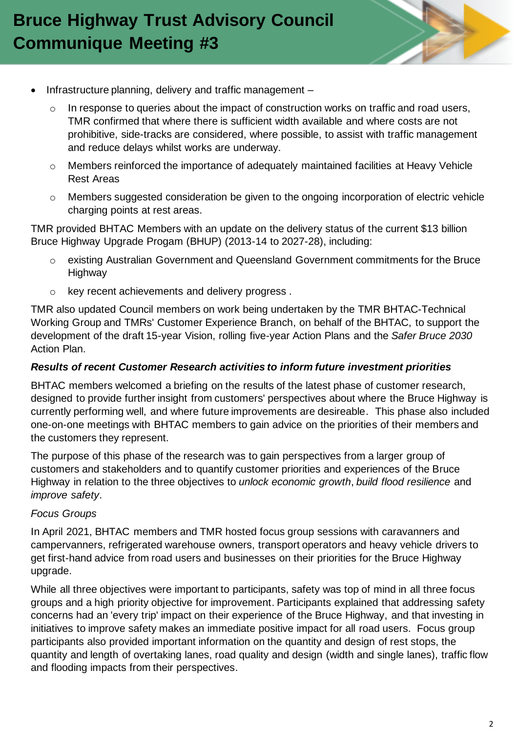

- Infrastructure planning, delivery and traffic management
	- $\circ$  In response to queries about the impact of construction works on traffic and road users, TMR confirmed that where there is sufficient width available and where costs are not prohibitive, side-tracks are considered, where possible, to assist with traffic management and reduce delays whilst works are underway.
	- o Members reinforced the importance of adequately maintained facilities at Heavy Vehicle Rest Areas
	- o Members suggested consideration be given to the ongoing incorporation of electric vehicle charging points at rest areas.

TMR provided BHTAC Members with an update on the delivery status of the current \$13 billion Bruce Highway Upgrade Progam (BHUP) (2013-14 to 2027-28), including:

- o existing Australian Government and Queensland Government commitments for the Bruce **Highway**
- o key recent achievements and delivery progress .

TMR also updated Council members on work being undertaken by the TMR BHTAC-Technical Working Group and TMRs' Customer Experience Branch, on behalf of the BHTAC, to support the development of the draft 15-year Vision, rolling five-year Action Plans and the *Safer Bruce 2030*  Action Plan.

### *Results of recent Customer Research activities to inform future investment priorities*

BHTAC members welcomed a briefing on the results of the latest phase of customer research, designed to provide further insight from customers' perspectives about where the Bruce Highway is currently performing well, and where future improvements are desireable. This phase also included one-on-one meetings with BHTAC members to gain advice on the priorities of their members and the customers they represent.

The purpose of this phase of the research was to gain perspectives from a larger group of customers and stakeholders and to quantify customer priorities and experiences of the Bruce Highway in relation to the three objectives to *unlock economic growth*, *build flood resilience* and *improve safety*.

### *Focus Groups*

In April 2021, BHTAC members and TMR hosted focus group sessions with caravanners and campervanners, refrigerated warehouse owners, transport operators and heavy vehicle drivers to get first-hand advice from road users and businesses on their priorities for the Bruce Highway upgrade.

While all three objectives were important to participants, safety was top of mind in all three focus groups and a high priority objective for improvement. Participants explained that addressing safety concerns had an 'every trip' impact on their experience of the Bruce Highway, and that investing in initiatives to improve safety makes an immediate positive impact for all road users. Focus group participants also provided important information on the quantity and design of rest stops, the quantity and length of overtaking lanes, road quality and design (width and single lanes), traffic flow and flooding impacts from their perspectives.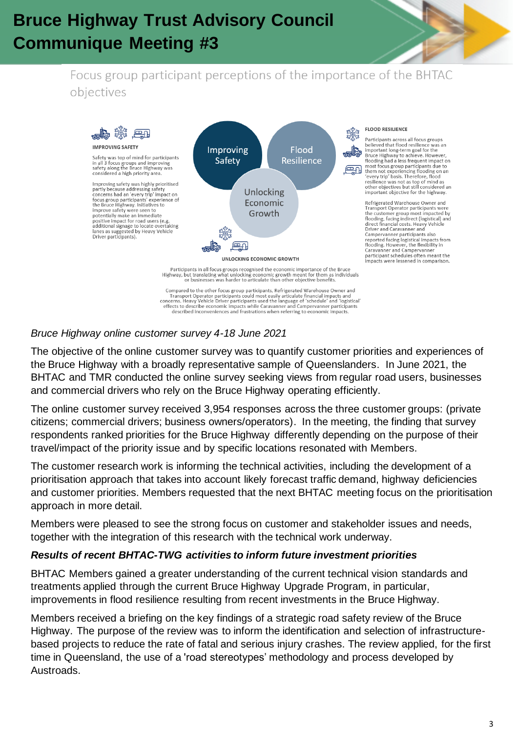# **Bruce Highway Trust Advisory Council Communique Meeting #3**



## Focus group participant perceptions of the importance of the BHTAC objectives



Transport Operator participants could most easily articulate financial impacts and<br>concerns. Heavy Vehicle Driver participants used the language of 'schedule' and 'logistical'<br>effects to describe economic impacts while Car described inconveniences and frustrations when referring to economic impacts

## *Bruce Highway online customer survey 4-18 June 2021*

The objective of the online customer survey was to quantify customer priorities and experiences of the Bruce Highway with a broadly representative sample of Queenslanders. In June 2021, the BHTAC and TMR conducted the online survey seeking views from regular road users, businesses and commercial drivers who rely on the Bruce Highway operating efficiently.

The online customer survey received 3,954 responses across the three customer groups: (private citizens; commercial drivers; business owners/operators). In the meeting, the finding that survey respondents ranked priorities for the Bruce Highway differently depending on the purpose of their travel/impact of the priority issue and by specific locations resonated with Members.

The customer research work is informing the technical activities, including the development of a prioritisation approach that takes into account likely forecast traffic demand, highway deficiencies and customer priorities. Members requested that the next BHTAC meeting focus on the prioritisation approach in more detail.

Members were pleased to see the strong focus on customer and stakeholder issues and needs, together with the integration of this research with the technical work underway.

## *Results of recent BHTAC-TWG activities to inform future investment priorities*

BHTAC Members gained a greater understanding of the current technical vision standards and treatments applied through the current Bruce Highway Upgrade Program, in particular, improvements in flood resilience resulting from recent investments in the Bruce Highway.

Members received a briefing on the key findings of a strategic road safety review of the Bruce Highway. The purpose of the review was to inform the identification and selection of infrastructurebased projects to reduce the rate of fatal and serious injury crashes. The review applied, for the first time in Queensland, the use of a 'road stereotypes' methodology and process developed by Austroads.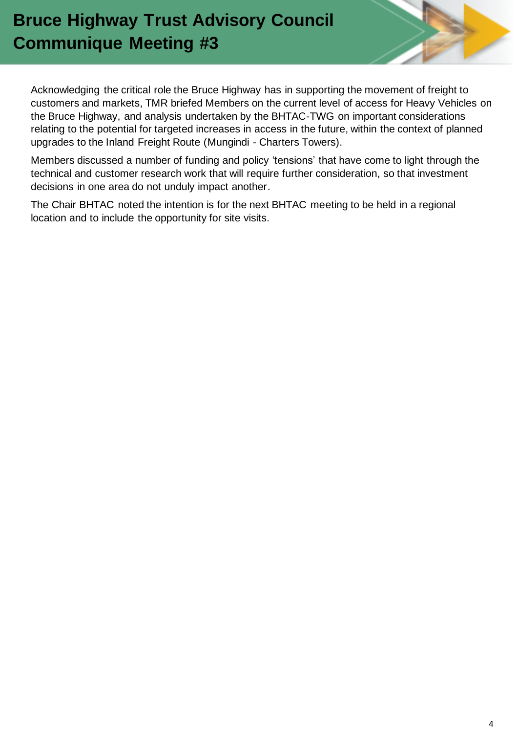# **Bruce Highway Trust Advisory Council Communique Meeting #3**

Acknowledging the critical role the Bruce Highway has in supporting the movement of freight to customers and markets, TMR briefed Members on the current level of access for Heavy Vehicles on the Bruce Highway, and analysis undertaken by the BHTAC-TWG on important considerations relating to the potential for targeted increases in access in the future, within the context of planned upgrades to the Inland Freight Route (Mungindi - Charters Towers).

Members discussed a number of funding and policy 'tensions' that have come to light through the technical and customer research work that will require further consideration, so that investment decisions in one area do not unduly impact another.

The Chair BHTAC noted the intention is for the next BHTAC meeting to be held in a regional location and to include the opportunity for site visits.